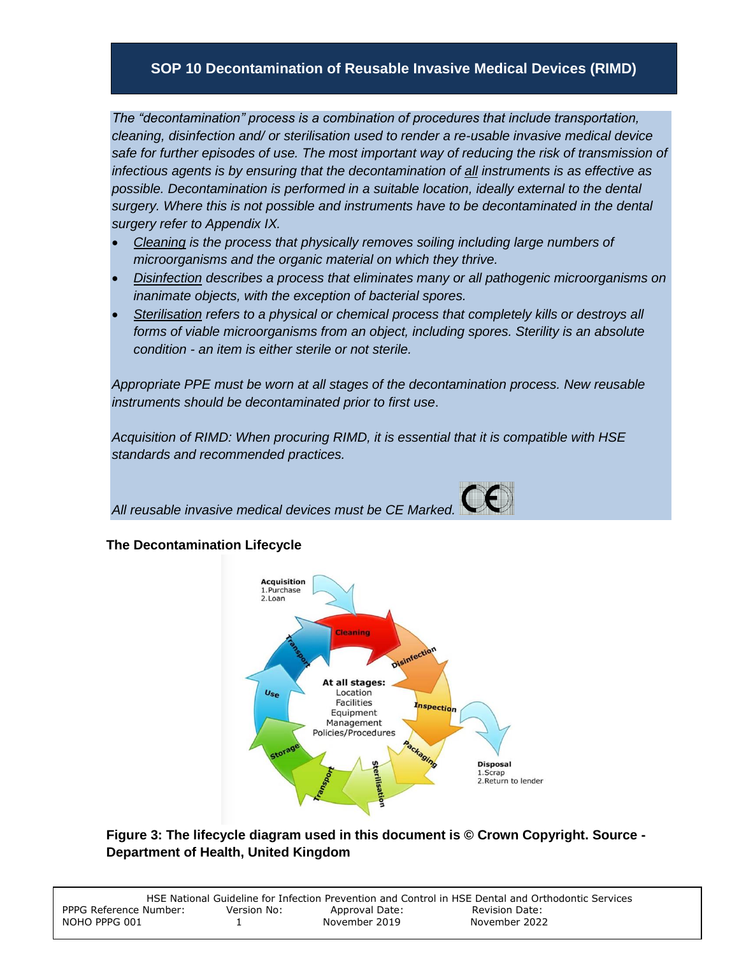# **SOP 10 Decontamination of Reusable Invasive Medical Devices (RIMD)**

*The "decontamination" process is a combination of procedures that include transportation, cleaning, disinfection and/ or sterilisation used to render a re-usable invasive medical device safe for further episodes of use. The most important way of reducing the risk of transmission of infectious agents is by ensuring that the decontamination of all instruments is as effective as possible. Decontamination is performed in a suitable location, ideally external to the dental surgery. Where this is not possible and instruments have to be decontaminated in the dental surgery refer to Appendix IX.*

- *Cleaning is the process that physically removes soiling including large numbers of microorganisms and the organic material on which they thrive.*
- *Disinfection describes a process that eliminates many or all pathogenic microorganisms on inanimate objects, with the exception of bacterial spores.*
- *Sterilisation refers to a physical or chemical process that completely kills or destroys all forms of viable microorganisms from an object, including spores. Sterility is an absolute condition - an item is either sterile or not sterile.*

*Appropriate PPE must be worn at all stages of the decontamination process. New reusable instruments should be decontaminated prior to first use*.

*Acquisition of RIMD: When procuring RIMD, it is essential that it is compatible with HSE standards and recommended practices.*

*All reusable invasive medical devices must be CE Marked.* 

#### **The Decontamination Lifecycle**



**Figure 3: The lifecycle diagram used in this document is © Crown Copyright. Source - Department of Health, United Kingdom**

|                        |             |                | HSE National Guideline for Infection Prevention and Control in HSE Dental and Orthodontic Services |
|------------------------|-------------|----------------|----------------------------------------------------------------------------------------------------|
| PPPG Reference Number: | Version No: | Approval Date: | Revision Date:                                                                                     |
| NOHO PPPG 001          |             | November 2019  | November 2022                                                                                      |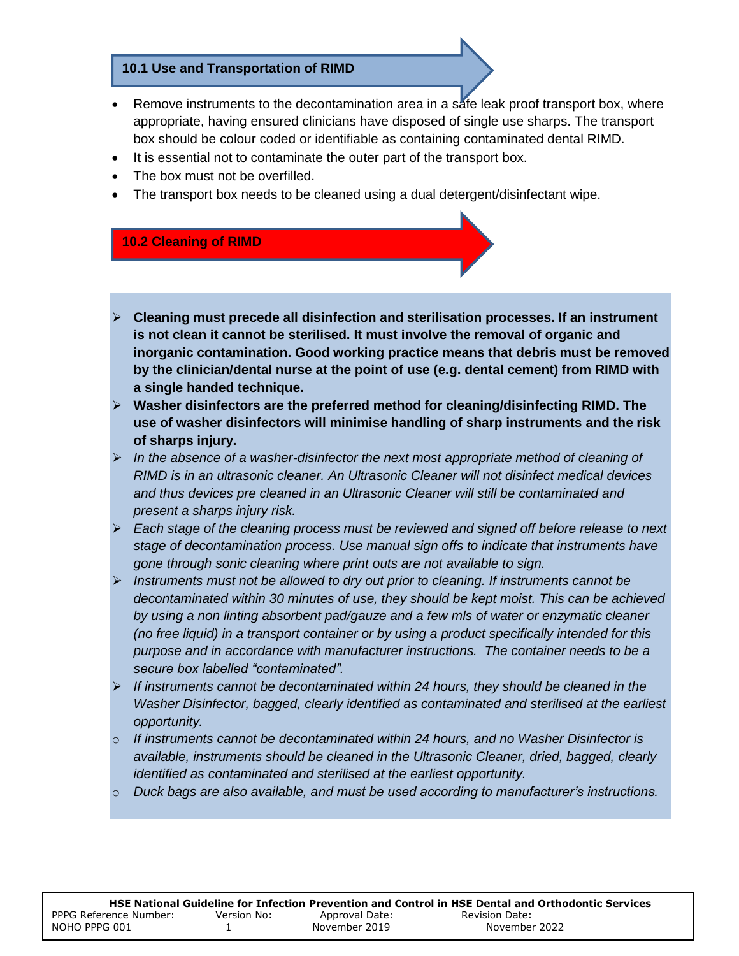#### **10.1 Use and Transportation of RIMD**

- Remove instruments to the decontamination area in a safe leak proof transport box, where appropriate, having ensured clinicians have disposed of single use sharps. The transport box should be colour coded or identifiable as containing contaminated dental RIMD.
- It is essential not to contaminate the outer part of the transport box.
- The box must not be overfilled.
- The transport box needs to be cleaned using a dual detergent/disinfectant wipe.

### **10.2 Cleaning of RIMD**

- **Cleaning must precede all disinfection and sterilisation processes. If an instrument is not clean it cannot be sterilised. It must involve the removal of organic and inorganic contamination. Good working practice means that debris must be removed by the clinician/dental nurse at the point of use (e.g. dental cement) from RIMD with a single handed technique.**
- **Washer disinfectors are the preferred method for cleaning/disinfecting RIMD. The use of washer disinfectors will minimise handling of sharp instruments and the risk of sharps injury.**
- *In the absence of a washer-disinfector the next most appropriate method of cleaning of RIMD is in an ultrasonic cleaner. An Ultrasonic Cleaner will not disinfect medical devices and thus devices pre cleaned in an Ultrasonic Cleaner will still be contaminated and present a sharps injury risk.*
- *Each stage of the cleaning process must be reviewed and signed off before release to next stage of decontamination process. Use manual sign offs to indicate that instruments have gone through sonic cleaning where print outs are not available to sign.*
- *Instruments must not be allowed to dry out prior to cleaning. If instruments cannot be decontaminated within 30 minutes of use, they should be kept moist. This can be achieved by using a non linting absorbent pad/gauze and a few mls of water or enzymatic cleaner (no free liquid) in a transport container or by using a product specifically intended for this purpose and in accordance with manufacturer instructions. The container needs to be a secure box labelled "contaminated".*
- *If instruments cannot be decontaminated within 24 hours, they should be cleaned in the Washer Disinfector, bagged, clearly identified as contaminated and sterilised at the earliest opportunity.*
- o *If instruments cannot be decontaminated within 24 hours, and no Washer Disinfector is available, instruments should be cleaned in the Ultrasonic Cleaner, dried, bagged, clearly identified as contaminated and sterilised at the earliest opportunity.*
- o *Duck bags are also available, and must be used according to manufacturer's instructions.*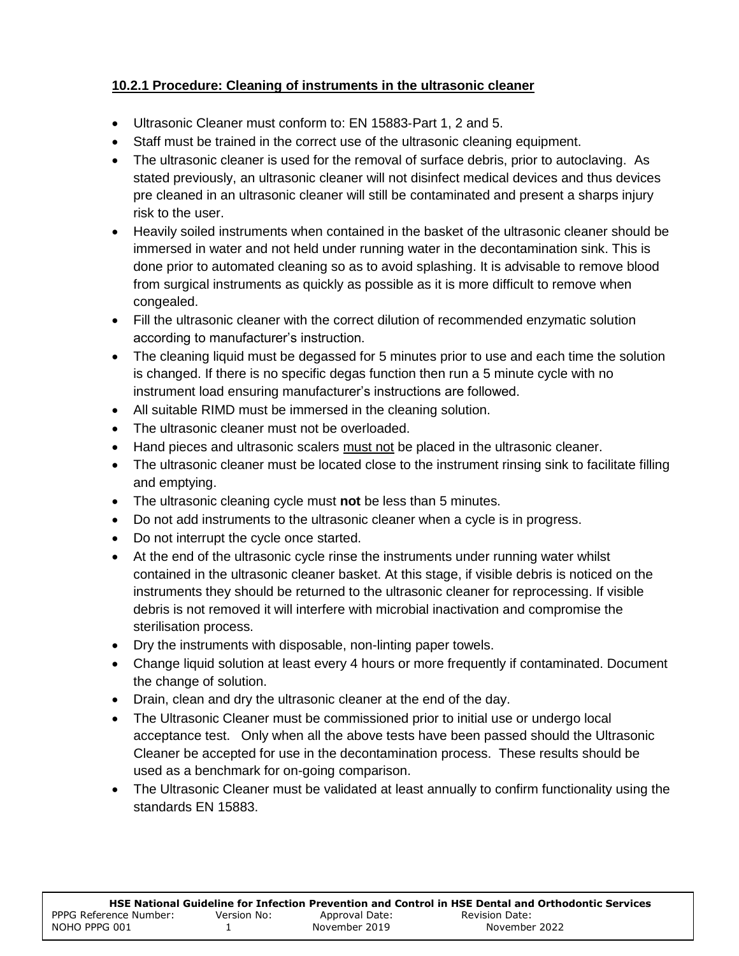# **10.2.1 Procedure: Cleaning of instruments in the ultrasonic cleaner**

- Ultrasonic Cleaner must conform to: EN 15883‐Part 1, 2 and 5.
- Staff must be trained in the correct use of the ultrasonic cleaning equipment.
- The ultrasonic cleaner is used for the removal of surface debris, prior to autoclaving. As stated previously, an ultrasonic cleaner will not disinfect medical devices and thus devices pre cleaned in an ultrasonic cleaner will still be contaminated and present a sharps injury risk to the user.
- Heavily soiled instruments when contained in the basket of the ultrasonic cleaner should be immersed in water and not held under running water in the decontamination sink. This is done prior to automated cleaning so as to avoid splashing. It is advisable to remove blood from surgical instruments as quickly as possible as it is more difficult to remove when congealed.
- Fill the ultrasonic cleaner with the correct dilution of recommended enzymatic solution according to manufacturer's instruction.
- The cleaning liquid must be degassed for 5 minutes prior to use and each time the solution is changed. If there is no specific degas function then run a 5 minute cycle with no instrument load ensuring manufacturer's instructions are followed.
- All suitable RIMD must be immersed in the cleaning solution.
- The ultrasonic cleaner must not be overloaded.
- Hand pieces and ultrasonic scalers must not be placed in the ultrasonic cleaner.
- The ultrasonic cleaner must be located close to the instrument rinsing sink to facilitate filling and emptying.
- The ultrasonic cleaning cycle must **not** be less than 5 minutes.
- Do not add instruments to the ultrasonic cleaner when a cycle is in progress.
- Do not interrupt the cycle once started.
- At the end of the ultrasonic cycle rinse the instruments under running water whilst contained in the ultrasonic cleaner basket. At this stage, if visible debris is noticed on the instruments they should be returned to the ultrasonic cleaner for reprocessing. If visible debris is not removed it will interfere with microbial inactivation and compromise the sterilisation process.
- Dry the instruments with disposable, non-linting paper towels.
- Change liquid solution at least every 4 hours or more frequently if contaminated. Document the change of solution.
- Drain, clean and dry the ultrasonic cleaner at the end of the day.
- The Ultrasonic Cleaner must be commissioned prior to initial use or undergo local acceptance test. Only when all the above tests have been passed should the Ultrasonic Cleaner be accepted for use in the decontamination process. These results should be used as a benchmark for on-going comparison.
- The Ultrasonic Cleaner must be validated at least annually to confirm functionality using the standards EN 15883.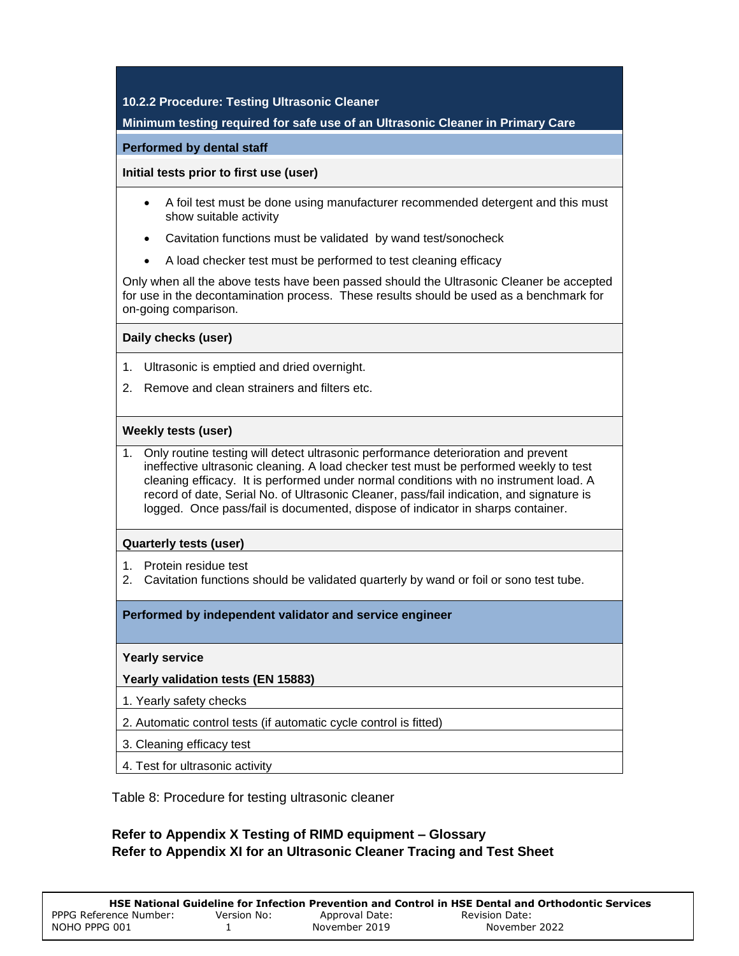#### **10.2.2 Procedure: Testing Ultrasonic Cleaner**

#### **Minimum testing required for safe use of an Ultrasonic Cleaner in Primary Care**

#### **Performed by dental staff**

**Initial tests prior to first use (user)**

- A foil test must be done using manufacturer recommended detergent and this must show suitable activity
- Cavitation functions must be validated by wand test/sonocheck
- A load checker test must be performed to test cleaning efficacy

Only when all the above tests have been passed should the Ultrasonic Cleaner be accepted for use in the decontamination process. These results should be used as a benchmark for on-going comparison.

**Daily checks (user)**

- 1. Ultrasonic is emptied and dried overnight.
- 2. Remove and clean strainers and filters etc.

#### **Weekly tests (user)**

1. Only routine testing will detect ultrasonic performance deterioration and prevent ineffective ultrasonic cleaning. A load checker test must be performed weekly to test cleaning efficacy. It is performed under normal conditions with no instrument load. A record of date, Serial No. of Ultrasonic Cleaner, pass/fail indication, and signature is logged. Once pass/fail is documented, dispose of indicator in sharps container.

#### **Quarterly tests (user)**

- 1. Protein residue test
- 2. Cavitation functions should be validated quarterly by wand or foil or sono test tube.

#### **Performed by independent validator and service engineer**

#### **Yearly service**

#### **Yearly validation tests (EN 15883)**

- 1. Yearly safety checks
- 2. Automatic control tests (if automatic cycle control is fitted)
- 3. Cleaning efficacy test
- 4. Test for ultrasonic activity

Table 8: Procedure for testing ultrasonic cleaner

### **Refer to Appendix X Testing of RIMD equipment – Glossary Refer to Appendix XI for an Ultrasonic Cleaner Tracing and Test Sheet**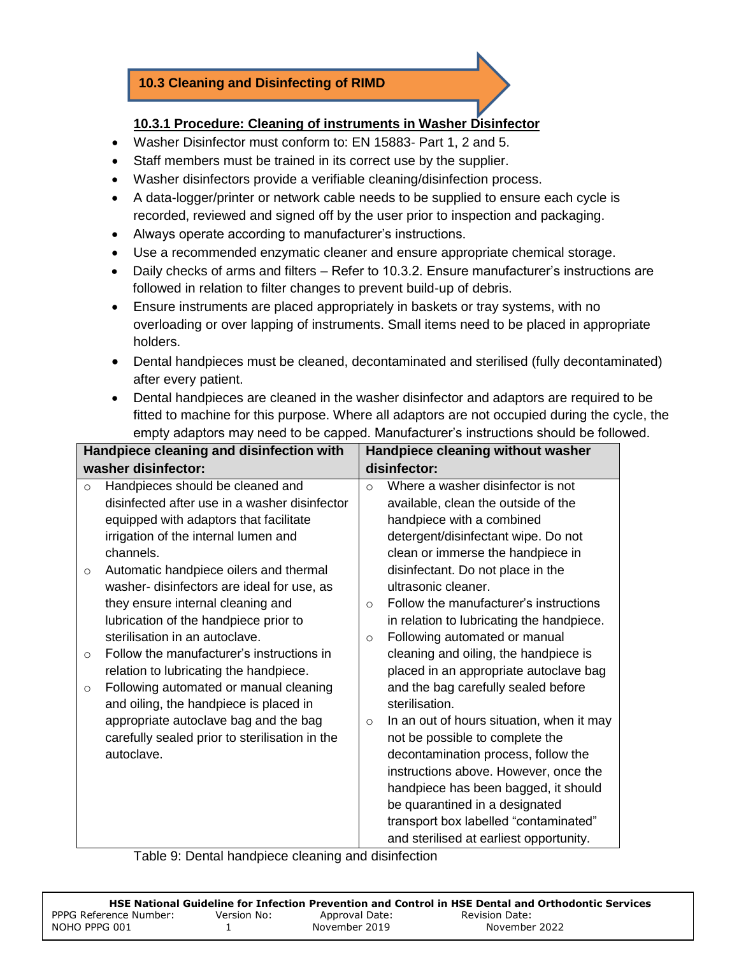# **10.3 Cleaning and Disinfecting of RIMD**

## **10.3.1 Procedure: Cleaning of instruments in Washer Disinfector**

- Washer Disinfector must conform to: EN 15883‐ Part 1, 2 and 5.
- Staff members must be trained in its correct use by the supplier.
- Washer disinfectors provide a verifiable cleaning/disinfection process.
- A data-logger/printer or network cable needs to be supplied to ensure each cycle is recorded, reviewed and signed off by the user prior to inspection and packaging.
- Always operate according to manufacturer's instructions.
- Use a recommended enzymatic cleaner and ensure appropriate chemical storage.
- Daily checks of arms and filters Refer to 10.3.2. Ensure manufacturer's instructions are followed in relation to filter changes to prevent build-up of debris.
- Ensure instruments are placed appropriately in baskets or tray systems, with no overloading or over lapping of instruments. Small items need to be placed in appropriate holders.
- Dental handpieces must be cleaned, decontaminated and sterilised (fully decontaminated) after every patient.
- Dental handpieces are cleaned in the washer disinfector and adaptors are required to be fitted to machine for this purpose. Where all adaptors are not occupied during the cycle, the empty adaptors may need to be capped. Manufacturer's instructions should be followed.

| Handpiece cleaning and disinfection with |                                                                                                                                                                                                                                                                                                                                                                                                                                                                                                                                                                                                                                                                             |                                            | Handpiece cleaning without washer                                                                                                                                                                                                                                                                                                                                                                                                                                                                                                                                                                                                                                                                                         |
|------------------------------------------|-----------------------------------------------------------------------------------------------------------------------------------------------------------------------------------------------------------------------------------------------------------------------------------------------------------------------------------------------------------------------------------------------------------------------------------------------------------------------------------------------------------------------------------------------------------------------------------------------------------------------------------------------------------------------------|--------------------------------------------|---------------------------------------------------------------------------------------------------------------------------------------------------------------------------------------------------------------------------------------------------------------------------------------------------------------------------------------------------------------------------------------------------------------------------------------------------------------------------------------------------------------------------------------------------------------------------------------------------------------------------------------------------------------------------------------------------------------------------|
|                                          | washer disinfector:                                                                                                                                                                                                                                                                                                                                                                                                                                                                                                                                                                                                                                                         |                                            | disinfector:                                                                                                                                                                                                                                                                                                                                                                                                                                                                                                                                                                                                                                                                                                              |
| $\circ$<br>$\circ$<br>$\circ$<br>$\circ$ | Handpieces should be cleaned and<br>disinfected after use in a washer disinfector<br>equipped with adaptors that facilitate<br>irrigation of the internal lumen and<br>channels.<br>Automatic handpiece oilers and thermal<br>washer-disinfectors are ideal for use, as<br>they ensure internal cleaning and<br>lubrication of the handpiece prior to<br>sterilisation in an autoclave.<br>Follow the manufacturer's instructions in<br>relation to lubricating the handpiece.<br>Following automated or manual cleaning<br>and oiling, the handpiece is placed in<br>appropriate autoclave bag and the bag<br>carefully sealed prior to sterilisation in the<br>autoclave. | $\Omega$<br>$\Omega$<br>$\circ$<br>$\circ$ | Where a washer disinfector is not<br>available, clean the outside of the<br>handpiece with a combined<br>detergent/disinfectant wipe. Do not<br>clean or immerse the handpiece in<br>disinfectant. Do not place in the<br>ultrasonic cleaner.<br>Follow the manufacturer's instructions<br>in relation to lubricating the handpiece.<br>Following automated or manual<br>cleaning and oiling, the handpiece is<br>placed in an appropriate autoclave bag<br>and the bag carefully sealed before<br>sterilisation.<br>In an out of hours situation, when it may<br>not be possible to complete the<br>decontamination process, follow the<br>instructions above. However, once the<br>handpiece has been bagged, it should |
|                                          |                                                                                                                                                                                                                                                                                                                                                                                                                                                                                                                                                                                                                                                                             |                                            | be quarantined in a designated                                                                                                                                                                                                                                                                                                                                                                                                                                                                                                                                                                                                                                                                                            |
|                                          |                                                                                                                                                                                                                                                                                                                                                                                                                                                                                                                                                                                                                                                                             |                                            | transport box labelled "contaminated"                                                                                                                                                                                                                                                                                                                                                                                                                                                                                                                                                                                                                                                                                     |
|                                          |                                                                                                                                                                                                                                                                                                                                                                                                                                                                                                                                                                                                                                                                             |                                            | and sterilised at earliest opportunity.                                                                                                                                                                                                                                                                                                                                                                                                                                                                                                                                                                                                                                                                                   |

Table 9: Dental handpiece cleaning and disinfection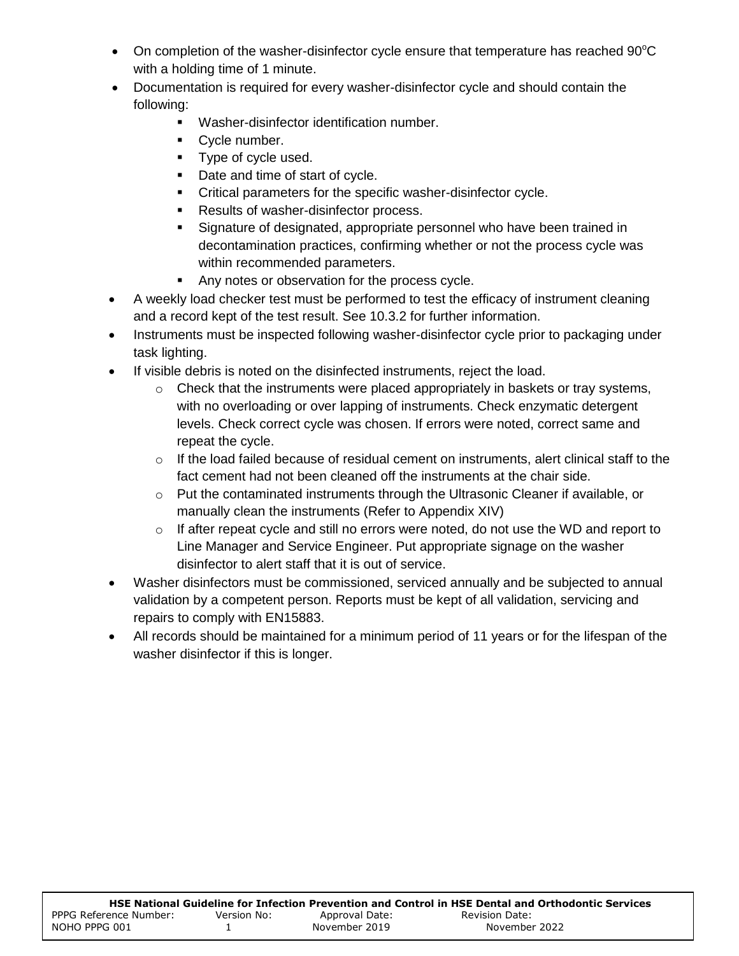- On completion of the washer-disinfector cycle ensure that temperature has reached  $90^{\circ}$ C with a holding time of 1 minute.
- Documentation is required for every washer-disinfector cycle and should contain the following:
	- Washer-disinfector identification number.
	- **Cycle number.**
	- **Type of cycle used.**
	- Date and time of start of cycle.
	- **Critical parameters for the specific washer-disinfector cycle.**
	- **Results of washer-disinfector process.**
	- Signature of designated, appropriate personnel who have been trained in decontamination practices, confirming whether or not the process cycle was within recommended parameters.
	- **Any notes or observation for the process cycle.**
- A weekly load checker test must be performed to test the efficacy of instrument cleaning and a record kept of the test result. See 10.3.2 for further information.
- Instruments must be inspected following washer-disinfector cycle prior to packaging under task lighting.
- If visible debris is noted on the disinfected instruments, reject the load.
	- $\circ$  Check that the instruments were placed appropriately in baskets or tray systems, with no overloading or over lapping of instruments. Check enzymatic detergent levels. Check correct cycle was chosen. If errors were noted, correct same and repeat the cycle.
	- $\circ$  If the load failed because of residual cement on instruments, alert clinical staff to the fact cement had not been cleaned off the instruments at the chair side.
	- $\circ$  Put the contaminated instruments through the Ultrasonic Cleaner if available, or manually clean the instruments (Refer to Appendix XIV)
	- $\circ$  If after repeat cycle and still no errors were noted, do not use the WD and report to Line Manager and Service Engineer. Put appropriate signage on the washer disinfector to alert staff that it is out of service.
- Washer disinfectors must be commissioned, serviced annually and be subjected to annual validation by a competent person. Reports must be kept of all validation, servicing and repairs to comply with EN15883.
- All records should be maintained for a minimum period of 11 years or for the lifespan of the washer disinfector if this is longer.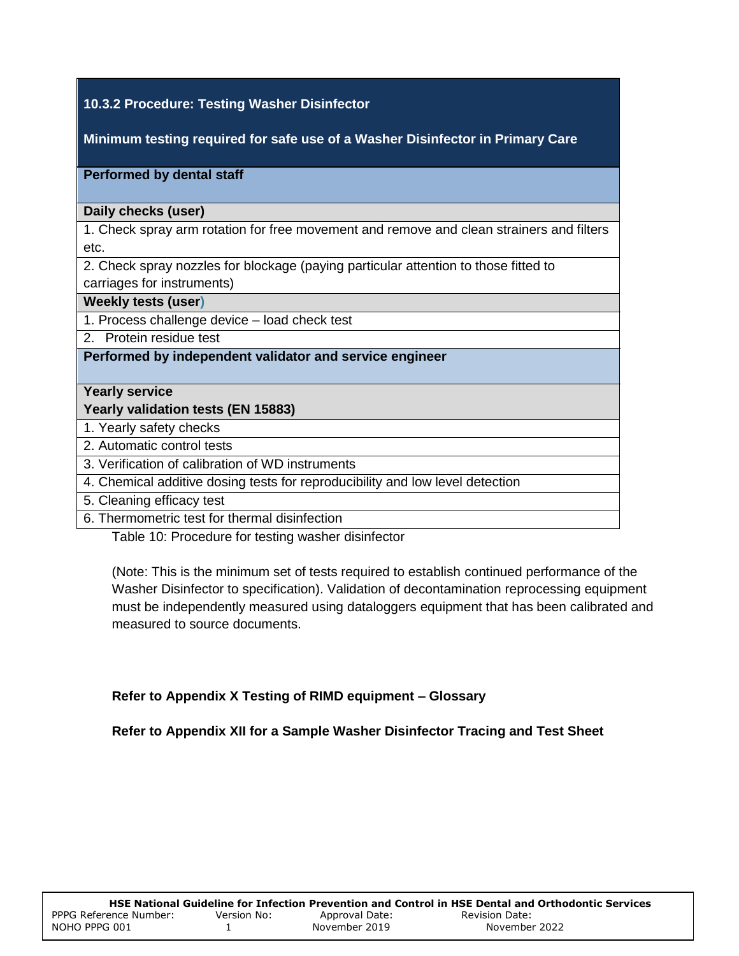## **10.3.2 Procedure: Testing Washer Disinfector**

**Minimum testing required for safe use of a Washer Disinfector in Primary Care**

#### **Performed by dental staff**

#### **Daily checks (user)**

1. Check spray arm rotation for free movement and remove and clean strainers and filters etc.

2. Check spray nozzles for blockage (paying particular attention to those fitted to carriages for instruments)

#### **Weekly tests (user)**

1. Process challenge device – load check test

2. Protein residue test

#### **Performed by independent validator and service engineer**

#### **Yearly service**

#### **Yearly validation tests (EN 15883)**

1. Yearly safety checks

2. Automatic control tests

3. Verification of calibration of WD instruments

4. Chemical additive dosing tests for reproducibility and low level detection

5. Cleaning efficacy test

6. Thermometric test for thermal disinfection

Table 10: Procedure for testing washer disinfector

(Note: This is the minimum set of tests required to establish continued performance of the Washer Disinfector to specification). Validation of decontamination reprocessing equipment must be independently measured using dataloggers equipment that has been calibrated and measured to source documents.

#### **Refer to Appendix X Testing of RIMD equipment – Glossary**

**Refer to Appendix XII for a Sample Washer Disinfector Tracing and Test Sheet**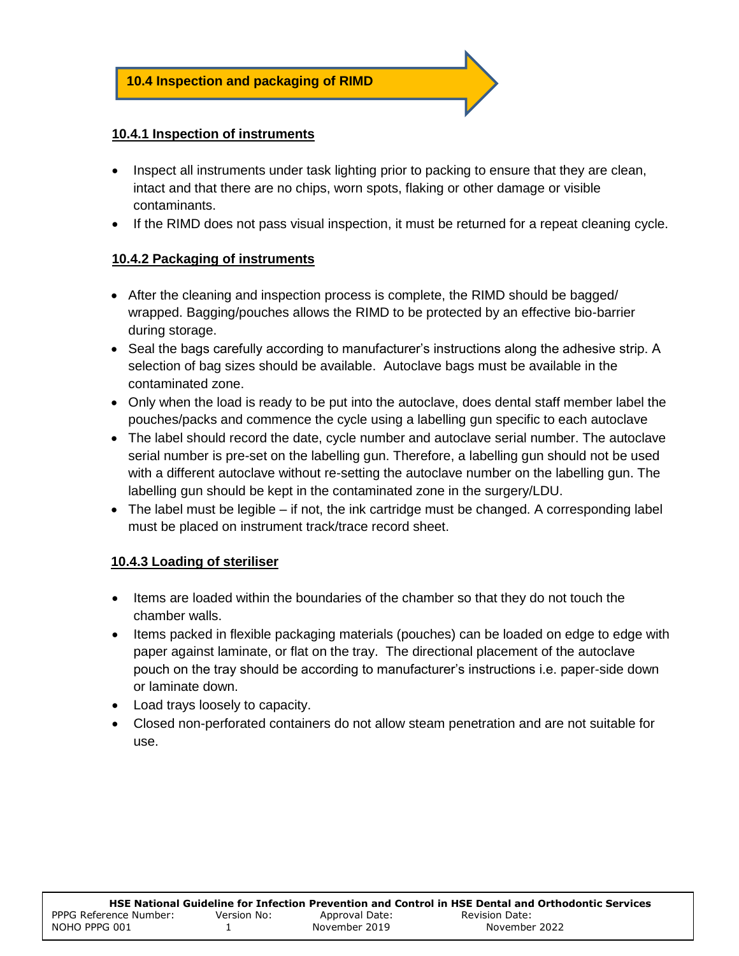#### **10.4.1 Inspection of instruments**

- Inspect all instruments under task lighting prior to packing to ensure that they are clean, intact and that there are no chips, worn spots, flaking or other damage or visible contaminants.
- If the RIMD does not pass visual inspection, it must be returned for a repeat cleaning cycle.

## **10.4.2 Packaging of instruments**

- After the cleaning and inspection process is complete, the RIMD should be bagged/ wrapped. Bagging/pouches allows the RIMD to be protected by an effective bio-barrier during storage.
- Seal the bags carefully according to manufacturer's instructions along the adhesive strip. A selection of bag sizes should be available. Autoclave bags must be available in the contaminated zone.
- Only when the load is ready to be put into the autoclave, does dental staff member label the pouches/packs and commence the cycle using a labelling gun specific to each autoclave
- The label should record the date, cycle number and autoclave serial number. The autoclave serial number is pre-set on the labelling gun. Therefore, a labelling gun should not be used with a different autoclave without re-setting the autoclave number on the labelling gun. The labelling gun should be kept in the contaminated zone in the surgery/LDU.
- The label must be legible if not, the ink cartridge must be changed. A corresponding label must be placed on instrument track/trace record sheet.

## **10.4.3 Loading of steriliser**

- Items are loaded within the boundaries of the chamber so that they do not touch the chamber walls.
- Items packed in flexible packaging materials (pouches) can be loaded on edge to edge with paper against laminate, or flat on the tray. The directional placement of the autoclave pouch on the tray should be according to manufacturer's instructions i.e. paper-side down or laminate down.
- Load trays loosely to capacity.
- Closed non-perforated containers do not allow steam penetration and are not suitable for use.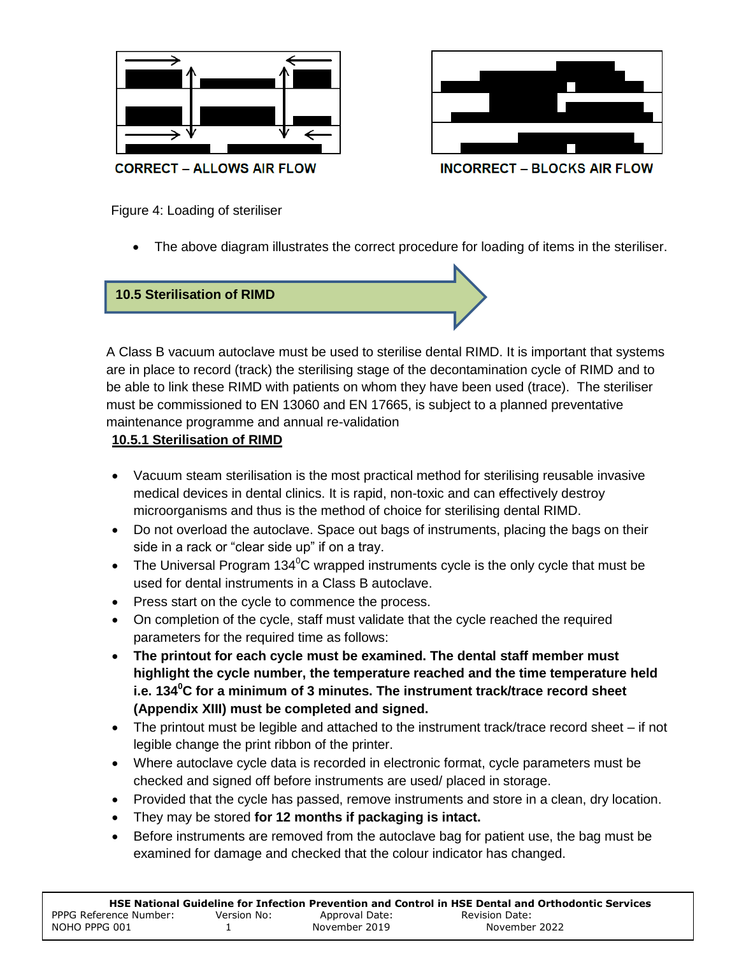



Figure 4: Loading of steriliser

The above diagram illustrates the correct procedure for loading of items in the steriliser.

**10.5 Sterilisation of RIMD**

A Class B vacuum autoclave must be used to sterilise dental RIMD. It is important that systems are in place to record (track) the sterilising stage of the decontamination cycle of RIMD and to be able to link these RIMD with patients on whom they have been used (trace). The steriliser must be commissioned to EN 13060 and EN 17665, is subject to a planned preventative maintenance programme and annual re-validation

#### **10.5.1 Sterilisation of RIMD**

- Vacuum steam sterilisation is the most practical method for sterilising reusable invasive medical devices in dental clinics. It is rapid, non-toxic and can effectively destroy microorganisms and thus is the method of choice for sterilising dental RIMD.
- Do not overload the autoclave. Space out bags of instruments, placing the bags on their side in a rack or "clear side up" if on a tray.
- The Universal Program 134 $^0$ C wrapped instruments cycle is the only cycle that must be used for dental instruments in a Class B autoclave.
- Press start on the cycle to commence the process.
- On completion of the cycle, staff must validate that the cycle reached the required parameters for the required time as follows:
- **The printout for each cycle must be examined. The dental staff member must highlight the cycle number, the temperature reached and the time temperature held i.e. 134<sup>0</sup>C for a minimum of 3 minutes. The instrument track/trace record sheet (Appendix XIII) must be completed and signed.**
- The printout must be legible and attached to the instrument track/trace record sheet if not legible change the print ribbon of the printer.
- Where autoclave cycle data is recorded in electronic format, cycle parameters must be checked and signed off before instruments are used/ placed in storage.
- Provided that the cycle has passed, remove instruments and store in a clean, dry location.
- They may be stored **for 12 months if packaging is intact.**
- Before instruments are removed from the autoclave bag for patient use, the bag must be examined for damage and checked that the colour indicator has changed.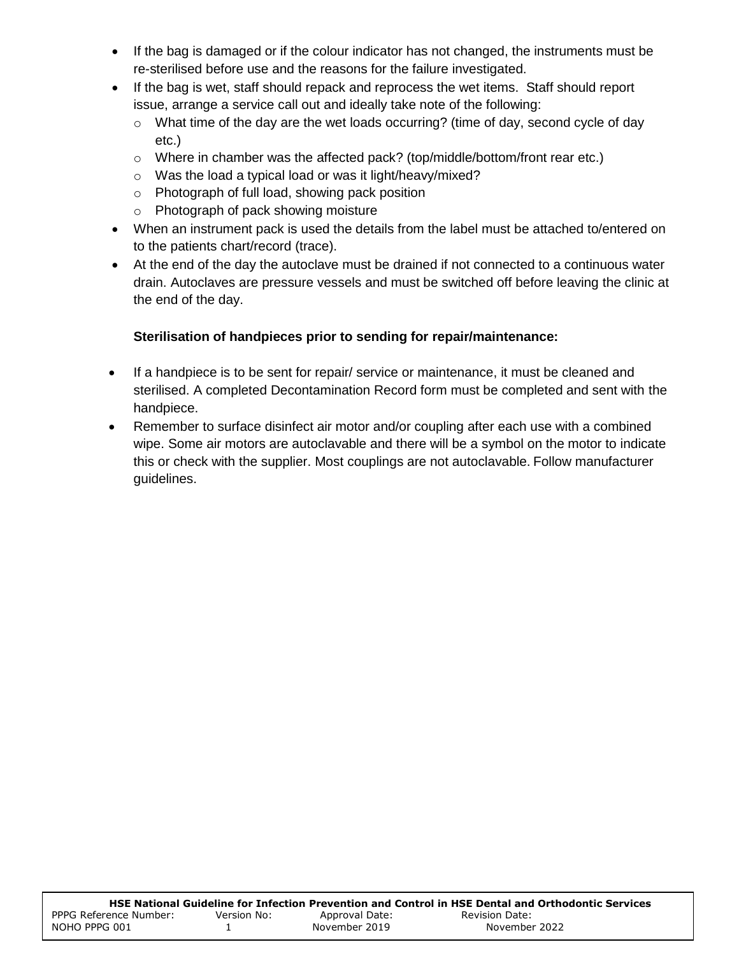- If the bag is damaged or if the colour indicator has not changed, the instruments must be re-sterilised before use and the reasons for the failure investigated.
- If the bag is wet, staff should repack and reprocess the wet items. Staff should report issue, arrange a service call out and ideally take note of the following:
	- $\circ$  What time of the day are the wet loads occurring? (time of day, second cycle of day etc.)
	- $\circ$  Where in chamber was the affected pack? (top/middle/bottom/front rear etc.)
	- o Was the load a typical load or was it light/heavy/mixed?
	- o Photograph of full load, showing pack position
	- o Photograph of pack showing moisture
- When an instrument pack is used the details from the label must be attached to/entered on to the patients chart/record (trace).
- At the end of the day the autoclave must be drained if not connected to a continuous water drain. Autoclaves are pressure vessels and must be switched off before leaving the clinic at the end of the day.

# **Sterilisation of handpieces prior to sending for repair/maintenance:**

- If a handpiece is to be sent for repair/ service or maintenance, it must be cleaned and sterilised. A completed Decontamination Record form must be completed and sent with the handpiece.
- Remember to surface disinfect air motor and/or coupling after each use with a combined wipe. Some air motors are autoclavable and there will be a symbol on the motor to indicate this or check with the supplier. Most couplings are not autoclavable. Follow manufacturer guidelines.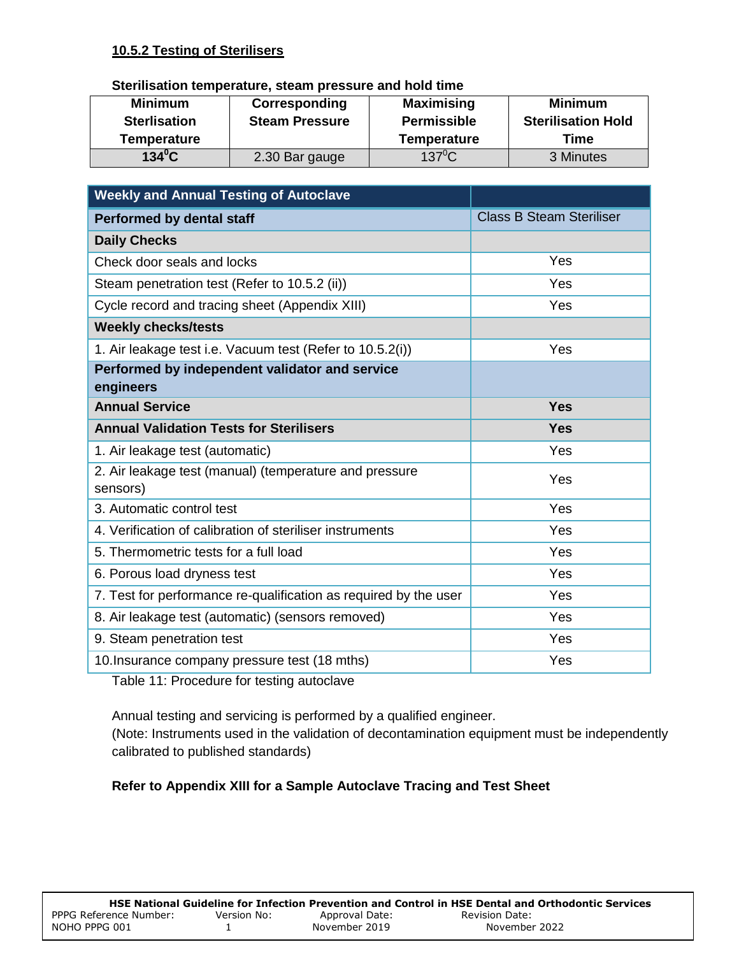### **10.5.2 Testing of Sterilisers**

#### **Sterilisation temperature, steam pressure and hold time**

| <b>Minimum</b><br><b>Sterlisation</b> | Corresponding<br><b>Steam Pressure</b> | <b>Maximising</b><br><b>Permissible</b> | <b>Minimum</b><br><b>Sterilisation Hold</b> |  |
|---------------------------------------|----------------------------------------|-----------------------------------------|---------------------------------------------|--|
| Temperature                           |                                        | <b>Temperature</b>                      | Time                                        |  |
| $134^{\circ}$ C                       | 2.30 Bar gauge                         | $137^{\circ}$ C                         | 3 Minutes                                   |  |

| <b>Weekly and Annual Testing of Autoclave</b>                      |                                 |
|--------------------------------------------------------------------|---------------------------------|
| <b>Performed by dental staff</b>                                   | <b>Class B Steam Steriliser</b> |
| <b>Daily Checks</b>                                                |                                 |
| Check door seals and locks                                         | Yes                             |
| Steam penetration test (Refer to 10.5.2 (ii))                      | Yes                             |
| Cycle record and tracing sheet (Appendix XIII)                     | Yes                             |
| <b>Weekly checks/tests</b>                                         |                                 |
| 1. Air leakage test i.e. Vacuum test (Refer to 10.5.2(i))          | Yes                             |
| Performed by independent validator and service                     |                                 |
| engineers                                                          |                                 |
| <b>Annual Service</b>                                              | <b>Yes</b>                      |
| <b>Annual Validation Tests for Sterilisers</b>                     | <b>Yes</b>                      |
| 1. Air leakage test (automatic)                                    | Yes                             |
| 2. Air leakage test (manual) (temperature and pressure<br>sensors) | Yes                             |
| 3. Automatic control test                                          | Yes                             |
| 4. Verification of calibration of steriliser instruments           | Yes                             |
| 5. Thermometric tests for a full load                              | Yes                             |
| 6. Porous load dryness test                                        | Yes                             |
| 7. Test for performance re-qualification as required by the user   | Yes                             |
| 8. Air leakage test (automatic) (sensors removed)                  | Yes                             |
| 9. Steam penetration test                                          | Yes                             |
| 10. Insurance company pressure test (18 mths)                      | Yes                             |

Table 11: Procedure for testing autoclave

Annual testing and servicing is performed by a qualified engineer.

(Note: Instruments used in the validation of decontamination equipment must be independently calibrated to published standards)

## **Refer to Appendix XIII for a Sample Autoclave Tracing and Test Sheet**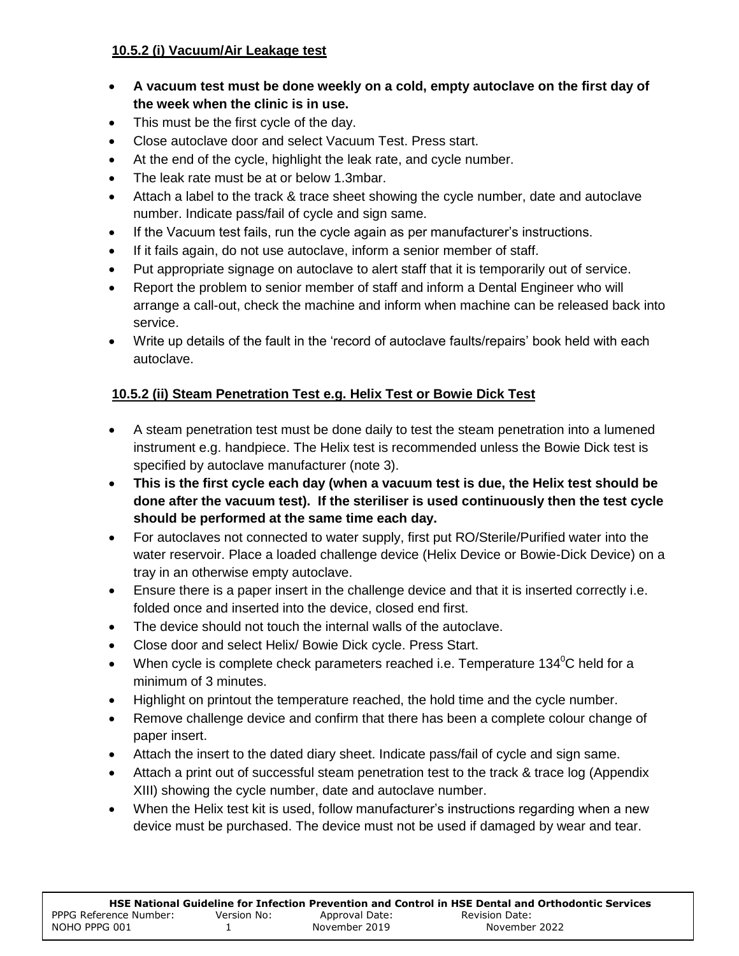## **10.5.2 (i) Vacuum/Air Leakage test**

- **A vacuum test must be done weekly on a cold, empty autoclave on the first day of the week when the clinic is in use.**
- This must be the first cycle of the day.
- Close autoclave door and select Vacuum Test. Press start.
- At the end of the cycle, highlight the leak rate, and cycle number.
- The leak rate must be at or below 1.3mbar.
- Attach a label to the track & trace sheet showing the cycle number, date and autoclave number. Indicate pass/fail of cycle and sign same.
- If the Vacuum test fails, run the cycle again as per manufacturer's instructions.
- If it fails again, do not use autoclave, inform a senior member of staff.
- Put appropriate signage on autoclave to alert staff that it is temporarily out of service.
- Report the problem to senior member of staff and inform a Dental Engineer who will arrange a call-out, check the machine and inform when machine can be released back into service.
- Write up details of the fault in the 'record of autoclave faults/repairs' book held with each autoclave.

# **10.5.2 (ii) Steam Penetration Test e.g. Helix Test or Bowie Dick Test**

- A steam penetration test must be done daily to test the steam penetration into a lumened instrument e.g. handpiece. The Helix test is recommended unless the Bowie Dick test is specified by autoclave manufacturer (note 3).
- **This is the first cycle each day (when a vacuum test is due, the Helix test should be done after the vacuum test). If the steriliser is used continuously then the test cycle should be performed at the same time each day.**
- For autoclaves not connected to water supply, first put RO/Sterile/Purified water into the water reservoir. Place a loaded challenge device (Helix Device or Bowie-Dick Device) on a tray in an otherwise empty autoclave.
- Ensure there is a paper insert in the challenge device and that it is inserted correctly i.e. folded once and inserted into the device, closed end first.
- The device should not touch the internal walls of the autoclave.
- Close door and select Helix/ Bowie Dick cycle. Press Start.
- When cycle is complete check parameters reached i.e. Temperature 134 $^0$ C held for a minimum of 3 minutes.
- Highlight on printout the temperature reached, the hold time and the cycle number.
- Remove challenge device and confirm that there has been a complete colour change of paper insert.
- Attach the insert to the dated diary sheet. Indicate pass/fail of cycle and sign same.
- Attach a print out of successful steam penetration test to the track & trace log (Appendix XIII) showing the cycle number, date and autoclave number.
- When the Helix test kit is used, follow manufacturer's instructions regarding when a new device must be purchased. The device must not be used if damaged by wear and tear.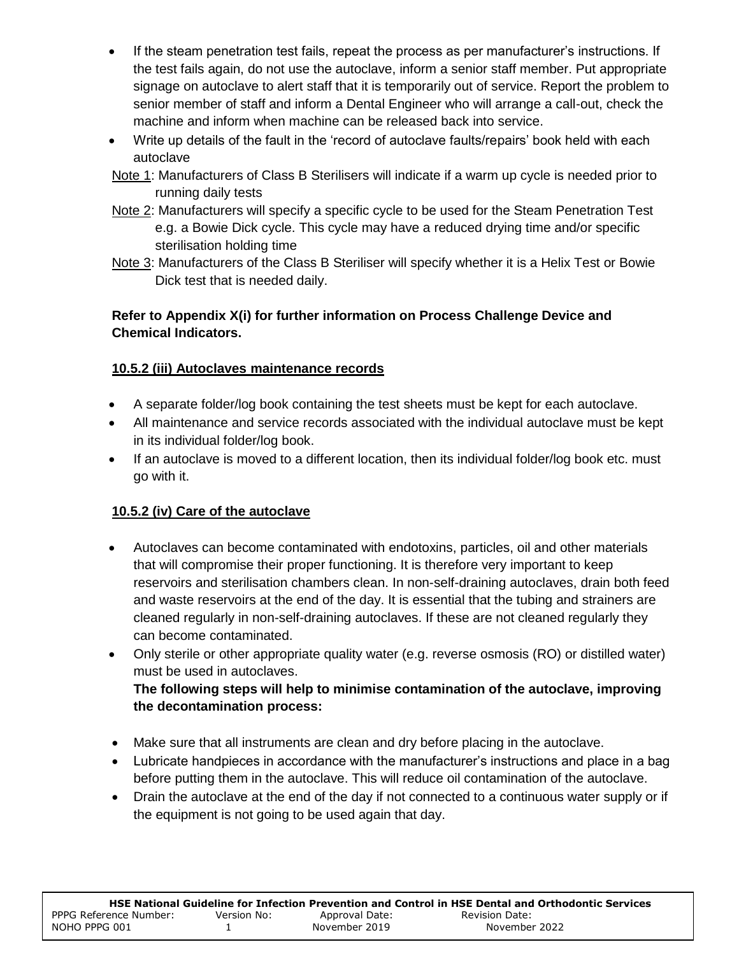- If the steam penetration test fails, repeat the process as per manufacturer's instructions. If the test fails again, do not use the autoclave, inform a senior staff member. Put appropriate signage on autoclave to alert staff that it is temporarily out of service. Report the problem to senior member of staff and inform a Dental Engineer who will arrange a call-out, check the machine and inform when machine can be released back into service.
- Write up details of the fault in the 'record of autoclave faults/repairs' book held with each autoclave
- Note 1: Manufacturers of Class B Sterilisers will indicate if a warm up cycle is needed prior to running daily tests
- Note 2: Manufacturers will specify a specific cycle to be used for the Steam Penetration Test e.g. a Bowie Dick cycle. This cycle may have a reduced drying time and/or specific sterilisation holding time
- Note 3: Manufacturers of the Class B Steriliser will specify whether it is a Helix Test or Bowie Dick test that is needed daily.

# **Refer to Appendix X(i) for further information on Process Challenge Device and Chemical Indicators.**

# **10.5.2 (iii) Autoclaves maintenance records**

- A separate folder/log book containing the test sheets must be kept for each autoclave.
- All maintenance and service records associated with the individual autoclave must be kept in its individual folder/log book.
- If an autoclave is moved to a different location, then its individual folder/log book etc. must go with it.

# **10.5.2 (iv) Care of the autoclave**

- Autoclaves can become contaminated with endotoxins, particles, oil and other materials that will compromise their proper functioning. It is therefore very important to keep reservoirs and sterilisation chambers clean. In non-self-draining autoclaves, drain both feed and waste reservoirs at the end of the day. It is essential that the tubing and strainers are cleaned regularly in non-self-draining autoclaves. If these are not cleaned regularly they can become contaminated.
- Only sterile or other appropriate quality water (e.g. reverse osmosis (RO) or distilled water) must be used in autoclaves. **The following steps will help to minimise contamination of the autoclave, improving the decontamination process:**
- Make sure that all instruments are clean and dry before placing in the autoclave.
- Lubricate handpieces in accordance with the manufacturer's instructions and place in a bag before putting them in the autoclave. This will reduce oil contamination of the autoclave.
- Drain the autoclave at the end of the day if not connected to a continuous water supply or if the equipment is not going to be used again that day.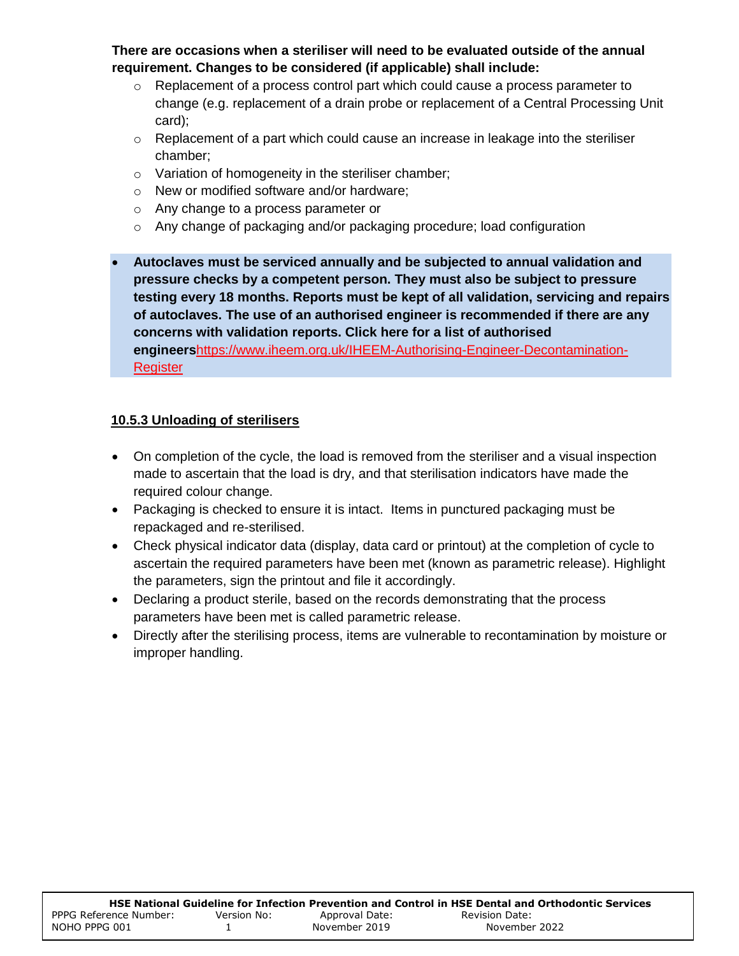**There are occasions when a steriliser will need to be evaluated outside of the annual requirement. Changes to be considered (if applicable) shall include:**

- $\circ$  Replacement of a process control part which could cause a process parameter to change (e.g. replacement of a drain probe or replacement of a Central Processing Unit card);
- o Replacement of a part which could cause an increase in leakage into the steriliser chamber;
- o Variation of homogeneity in the steriliser chamber;
- o New or modified software and/or hardware;
- o Any change to a process parameter or
- $\circ$  Any change of packaging and/or packaging procedure; load configuration
- **Autoclaves must be serviced annually and be subjected to annual validation and pressure checks by a competent person. They must also be subject to pressure testing every 18 months. Reports must be kept of all validation, servicing and repairs of autoclaves. The use of an authorised engineer is recommended if there are any concerns with validation reports. Click here for a list of authorised engineers**[https://www.iheem.org.uk/IHEEM-Authorising-Engineer-Decontamination-](https://www.iheem.org.uk/IHEEM-Authorising-Engineer-Decontamination-Register)**[Register](https://www.iheem.org.uk/IHEEM-Authorising-Engineer-Decontamination-Register)**

# **10.5.3 Unloading of sterilisers**

- On completion of the cycle, the load is removed from the steriliser and a visual inspection made to ascertain that the load is dry, and that sterilisation indicators have made the required colour change.
- Packaging is checked to ensure it is intact. Items in punctured packaging must be repackaged and re-sterilised.
- Check physical indicator data (display, data card or printout) at the completion of cycle to ascertain the required parameters have been met (known as parametric release). Highlight the parameters, sign the printout and file it accordingly.
- Declaring a product sterile, based on the records demonstrating that the process parameters have been met is called parametric release.
- Directly after the sterilising process, items are vulnerable to recontamination by moisture or improper handling.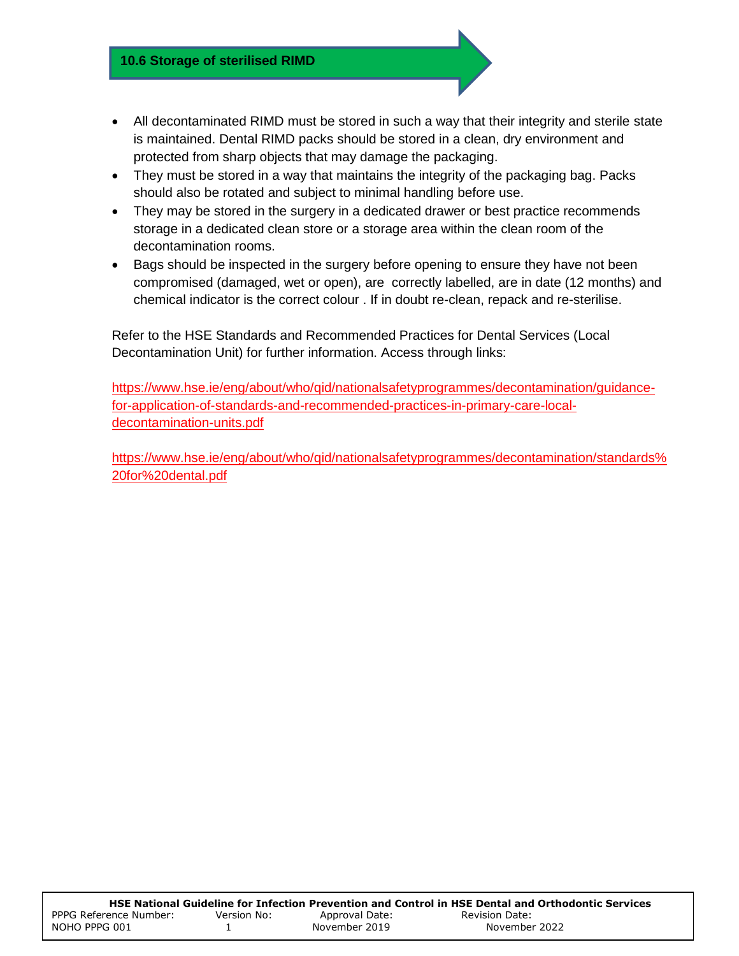- All decontaminated RIMD must be stored in such a way that their integrity and sterile state is maintained. Dental RIMD packs should be stored in a clean, dry environment and protected from sharp objects that may damage the packaging.
- They must be stored in a way that maintains the integrity of the packaging bag. Packs should also be rotated and subject to minimal handling before use.
- They may be stored in the surgery in a dedicated drawer or best practice recommends storage in a dedicated clean store or a storage area within the clean room of the decontamination rooms.
- Bags should be inspected in the surgery before opening to ensure they have not been compromised (damaged, wet or open), are correctly labelled, are in date (12 months) and chemical indicator is the correct colour . If in doubt re-clean, repack and re-sterilise.

Refer to the HSE Standards and Recommended Practices for Dental Services (Local Decontamination Unit) for further information. Access through links:

[https://www.hse.ie/eng/about/who/qid/nationalsafetyprogrammes/decontamination/guidance](https://www.hse.ie/eng/about/who/qid/nationalsafetyprogrammes/decontamination/guidance-for-application-of-standards-and-recommended-practices-in-primary-care-local-decontamination-units.pdf)[for-application-of-standards-and-recommended-practices-in-primary-care-local](https://www.hse.ie/eng/about/who/qid/nationalsafetyprogrammes/decontamination/guidance-for-application-of-standards-and-recommended-practices-in-primary-care-local-decontamination-units.pdf)[decontamination-units.pdf](https://www.hse.ie/eng/about/who/qid/nationalsafetyprogrammes/decontamination/guidance-for-application-of-standards-and-recommended-practices-in-primary-care-local-decontamination-units.pdf)

[https://www.hse.ie/eng/about/who/qid/nationalsafetyprogrammes/decontamination/standards%](https://www.hse.ie/eng/about/who/qid/nationalsafetyprogrammes/decontamination/standards%20for%20dental.pdf) [20for%20dental.pdf](https://www.hse.ie/eng/about/who/qid/nationalsafetyprogrammes/decontamination/standards%20for%20dental.pdf)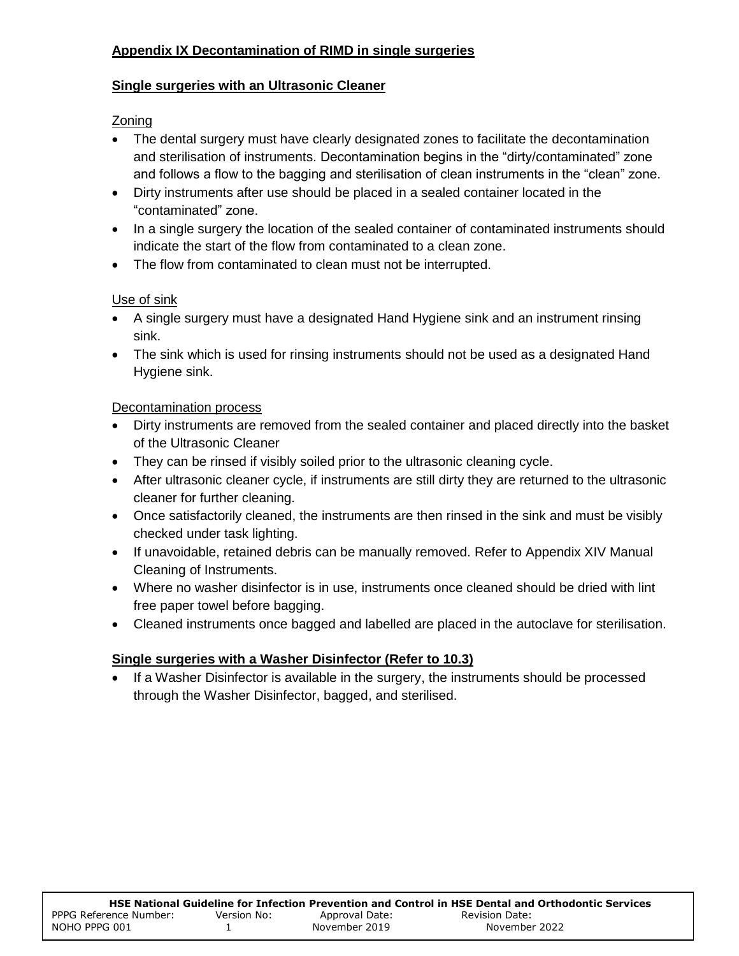## **Appendix IX Decontamination of RIMD in single surgeries**

### **Single surgeries with an Ultrasonic Cleaner**

## Zoning

- The dental surgery must have clearly designated zones to facilitate the decontamination and sterilisation of instruments. Decontamination begins in the "dirty/contaminated" zone and follows a flow to the bagging and sterilisation of clean instruments in the "clean" zone.
- Dirty instruments after use should be placed in a sealed container located in the "contaminated" zone.
- In a single surgery the location of the sealed container of contaminated instruments should indicate the start of the flow from contaminated to a clean zone.
- The flow from contaminated to clean must not be interrupted.

# Use of sink

- A single surgery must have a designated Hand Hygiene sink and an instrument rinsing sink.
- The sink which is used for rinsing instruments should not be used as a designated Hand Hygiene sink.

## Decontamination process

- Dirty instruments are removed from the sealed container and placed directly into the basket of the Ultrasonic Cleaner
- They can be rinsed if visibly soiled prior to the ultrasonic cleaning cycle.
- After ultrasonic cleaner cycle, if instruments are still dirty they are returned to the ultrasonic cleaner for further cleaning.
- Once satisfactorily cleaned, the instruments are then rinsed in the sink and must be visibly checked under task lighting.
- If unavoidable, retained debris can be manually removed. Refer to Appendix XIV Manual Cleaning of Instruments.
- Where no washer disinfector is in use, instruments once cleaned should be dried with lint free paper towel before bagging.
- Cleaned instruments once bagged and labelled are placed in the autoclave for sterilisation.

## **Single surgeries with a Washer Disinfector (Refer to 10.3)**

 If a Washer Disinfector is available in the surgery, the instruments should be processed through the Washer Disinfector, bagged, and sterilised.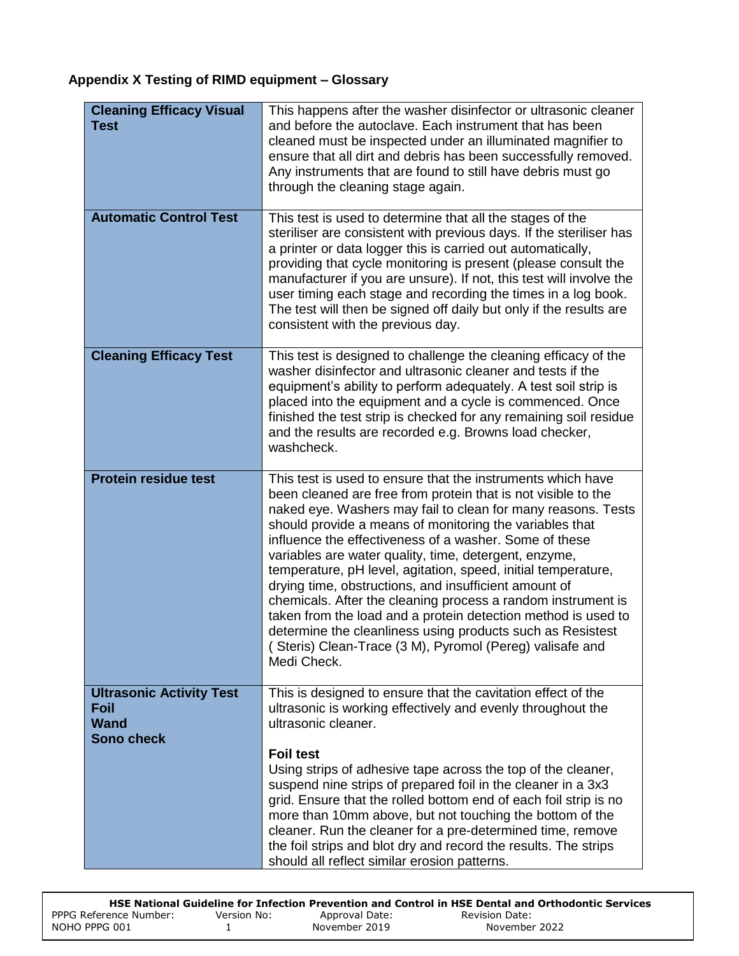# **Appendix X Testing of RIMD equipment – Glossary**

| <b>Cleaning Efficacy Visual</b><br><b>Test</b>                              | This happens after the washer disinfector or ultrasonic cleaner<br>and before the autoclave. Each instrument that has been<br>cleaned must be inspected under an illuminated magnifier to<br>ensure that all dirt and debris has been successfully removed.<br>Any instruments that are found to still have debris must go<br>through the cleaning stage again.                                                                                                                                                                                                                                                                                                                                                                                                                |
|-----------------------------------------------------------------------------|--------------------------------------------------------------------------------------------------------------------------------------------------------------------------------------------------------------------------------------------------------------------------------------------------------------------------------------------------------------------------------------------------------------------------------------------------------------------------------------------------------------------------------------------------------------------------------------------------------------------------------------------------------------------------------------------------------------------------------------------------------------------------------|
| <b>Automatic Control Test</b>                                               | This test is used to determine that all the stages of the<br>steriliser are consistent with previous days. If the steriliser has<br>a printer or data logger this is carried out automatically,<br>providing that cycle monitoring is present (please consult the<br>manufacturer if you are unsure). If not, this test will involve the<br>user timing each stage and recording the times in a log book.<br>The test will then be signed off daily but only if the results are<br>consistent with the previous day.                                                                                                                                                                                                                                                           |
| <b>Cleaning Efficacy Test</b>                                               | This test is designed to challenge the cleaning efficacy of the<br>washer disinfector and ultrasonic cleaner and tests if the<br>equipment's ability to perform adequately. A test soil strip is<br>placed into the equipment and a cycle is commenced. Once<br>finished the test strip is checked for any remaining soil residue<br>and the results are recorded e.g. Browns load checker,<br>washcheck.                                                                                                                                                                                                                                                                                                                                                                      |
| <b>Protein residue test</b>                                                 | This test is used to ensure that the instruments which have<br>been cleaned are free from protein that is not visible to the<br>naked eye. Washers may fail to clean for many reasons. Tests<br>should provide a means of monitoring the variables that<br>influence the effectiveness of a washer. Some of these<br>variables are water quality, time, detergent, enzyme,<br>temperature, pH level, agitation, speed, initial temperature,<br>drying time, obstructions, and insufficient amount of<br>chemicals. After the cleaning process a random instrument is<br>taken from the load and a protein detection method is used to<br>determine the cleanliness using products such as Resistest<br>(Steris) Clean-Trace (3 M), Pyromol (Pereg) valisafe and<br>Medi Check. |
| <b>Ultrasonic Activity Test</b><br>Foil<br><b>Wand</b><br><b>Sono check</b> | This is designed to ensure that the cavitation effect of the<br>ultrasonic is working effectively and evenly throughout the<br>ultrasonic cleaner.<br><b>Foil test</b><br>Using strips of adhesive tape across the top of the cleaner,<br>suspend nine strips of prepared foil in the cleaner in a 3x3<br>grid. Ensure that the rolled bottom end of each foil strip is no<br>more than 10mm above, but not touching the bottom of the<br>cleaner. Run the cleaner for a pre-determined time, remove<br>the foil strips and blot dry and record the results. The strips<br>should all reflect similar erosion patterns.                                                                                                                                                        |

|                        |             |                | HSE National Guideline for Infection Prevention and Control in HSE Dental and Orthodontic Services |
|------------------------|-------------|----------------|----------------------------------------------------------------------------------------------------|
| PPPG Reference Number: | Version No: | Approval Date: | Revision Date:                                                                                     |
| NOHO PPPG 001          |             | November 2019  | November 2022                                                                                      |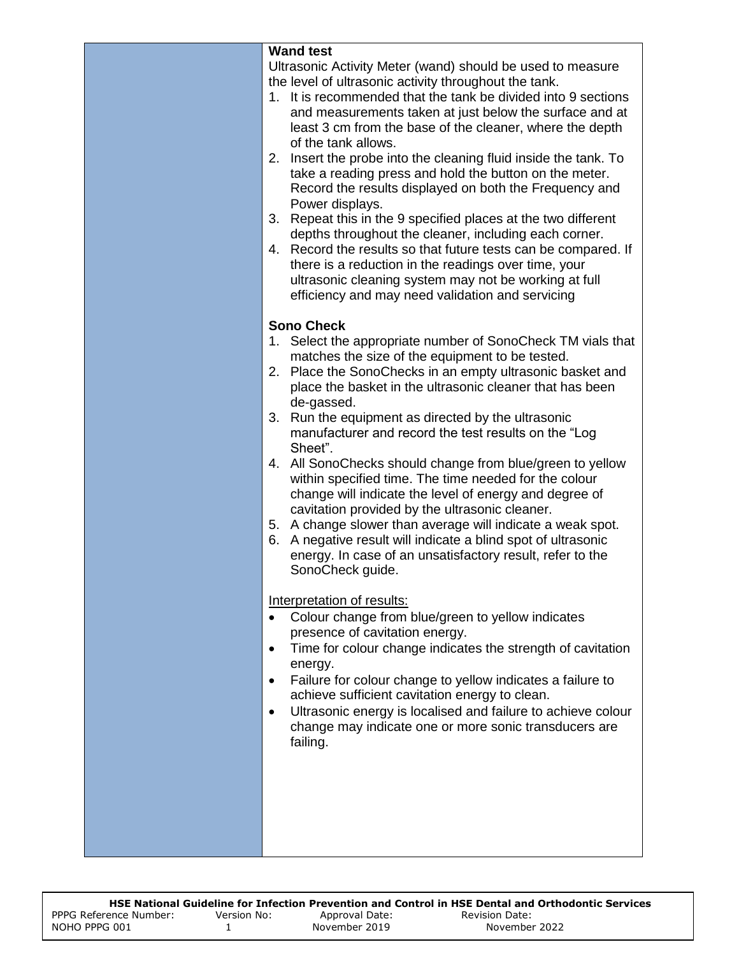| <b>Wand test</b>                                                                                                                                                                                                                                                                                                                                                                                                                                                                                                                                                                                                                                                                                                                                                                                                                                                                                                                                                                                                                                                                                                                                                                                                                                                                                                                            |
|---------------------------------------------------------------------------------------------------------------------------------------------------------------------------------------------------------------------------------------------------------------------------------------------------------------------------------------------------------------------------------------------------------------------------------------------------------------------------------------------------------------------------------------------------------------------------------------------------------------------------------------------------------------------------------------------------------------------------------------------------------------------------------------------------------------------------------------------------------------------------------------------------------------------------------------------------------------------------------------------------------------------------------------------------------------------------------------------------------------------------------------------------------------------------------------------------------------------------------------------------------------------------------------------------------------------------------------------|
| Ultrasonic Activity Meter (wand) should be used to measure<br>the level of ultrasonic activity throughout the tank.<br>1. It is recommended that the tank be divided into 9 sections<br>and measurements taken at just below the surface and at<br>least 3 cm from the base of the cleaner, where the depth<br>of the tank allows.<br>2. Insert the probe into the cleaning fluid inside the tank. To<br>take a reading press and hold the button on the meter.<br>Record the results displayed on both the Frequency and<br>Power displays.<br>3.<br>Repeat this in the 9 specified places at the two different<br>depths throughout the cleaner, including each corner.<br>Record the results so that future tests can be compared. If<br>4.<br>there is a reduction in the readings over time, your<br>ultrasonic cleaning system may not be working at full<br>efficiency and may need validation and servicing                                                                                                                                                                                                                                                                                                                                                                                                                         |
| <b>Sono Check</b><br>1. Select the appropriate number of SonoCheck TM vials that<br>matches the size of the equipment to be tested.<br>2. Place the SonoChecks in an empty ultrasonic basket and<br>place the basket in the ultrasonic cleaner that has been<br>de-gassed.<br>3. Run the equipment as directed by the ultrasonic<br>manufacturer and record the test results on the "Log<br>Sheet".<br>4. All SonoChecks should change from blue/green to yellow<br>within specified time. The time needed for the colour<br>change will indicate the level of energy and degree of<br>cavitation provided by the ultrasonic cleaner.<br>5. A change slower than average will indicate a weak spot.<br>A negative result will indicate a blind spot of ultrasonic<br>6.<br>energy. In case of an unsatisfactory result, refer to the<br>SonoCheck guide.<br>Interpretation of results:<br>Colour change from blue/green to yellow indicates<br>presence of cavitation energy.<br>Time for colour change indicates the strength of cavitation<br>$\bullet$<br>energy.<br>Failure for colour change to yellow indicates a failure to<br>٠<br>achieve sufficient cavitation energy to clean.<br>Ultrasonic energy is localised and failure to achieve colour<br>$\bullet$<br>change may indicate one or more sonic transducers are<br>failing. |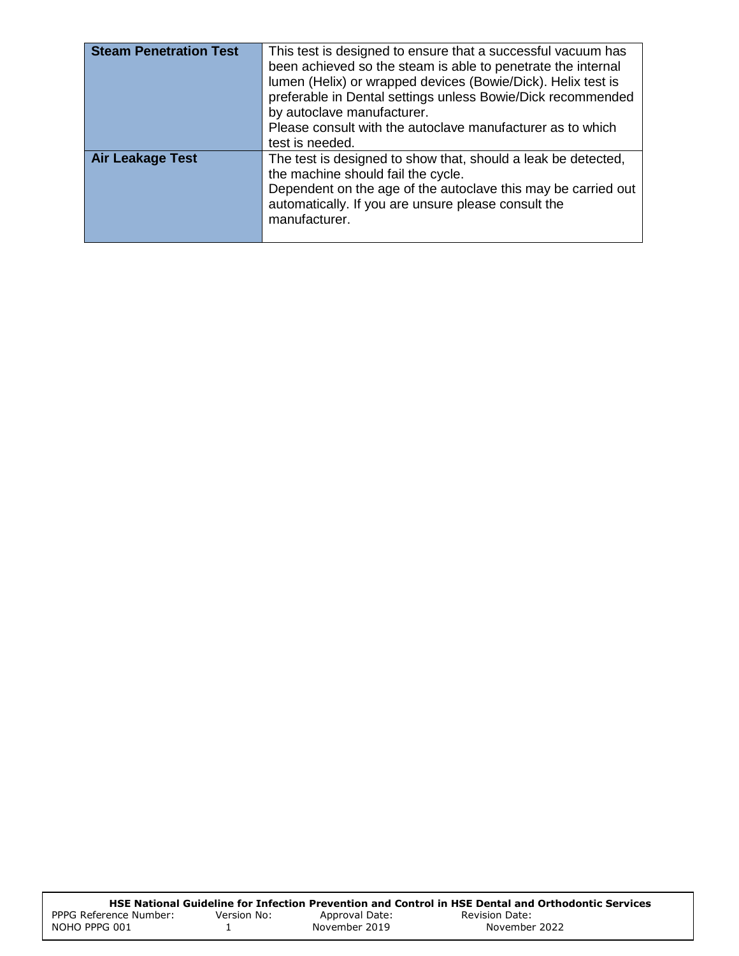| <b>Steam Penetration Test</b> | This test is designed to ensure that a successful vacuum has<br>been achieved so the steam is able to penetrate the internal<br>lumen (Helix) or wrapped devices (Bowie/Dick). Helix test is<br>preferable in Dental settings unless Bowie/Dick recommended<br>by autoclave manufacturer.<br>Please consult with the autoclave manufacturer as to which<br>test is needed. |
|-------------------------------|----------------------------------------------------------------------------------------------------------------------------------------------------------------------------------------------------------------------------------------------------------------------------------------------------------------------------------------------------------------------------|
| Air Leakage Test              | The test is designed to show that, should a leak be detected,<br>the machine should fail the cycle.<br>Dependent on the age of the autoclave this may be carried out<br>automatically. If you are unsure please consult the<br>manufacturer.                                                                                                                               |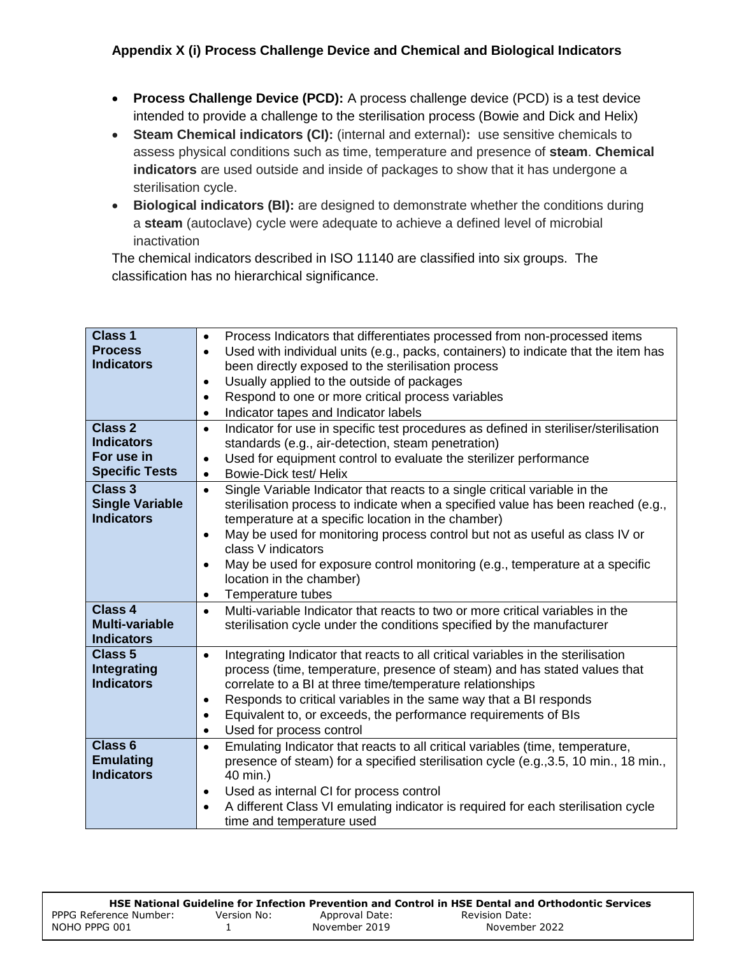### **Appendix X (i) Process Challenge Device and Chemical and Biological Indicators**

- **Process Challenge Device (PCD):** A process challenge device (PCD) is a test device intended to provide a challenge to the sterilisation process (Bowie and Dick and Helix)
- **Steam Chemical indicators (CI):** (internal and external)**:** use sensitive chemicals to assess physical conditions such as time, temperature and presence of **steam**. **Chemical indicators** are used outside and inside of packages to show that it has undergone a sterilisation cycle.
- **Biological indicators (BI):** are designed to demonstrate whether the conditions during a **steam** (autoclave) cycle were adequate to achieve a defined level of microbial inactivation

The chemical indicators described in ISO 11140 are classified into six groups. The classification has no hierarchical significance.

| <b>Class 1</b><br><b>Process</b><br><b>Indicators</b><br><b>Class 2</b> | Process Indicators that differentiates processed from non-processed items<br>$\bullet$<br>Used with individual units (e.g., packs, containers) to indicate that the item has<br>$\bullet$<br>been directly exposed to the sterilisation process<br>Usually applied to the outside of packages<br>$\bullet$<br>Respond to one or more critical process variables<br>$\bullet$<br>Indicator tapes and Indicator labels<br>$\bullet$                                                                              |
|-------------------------------------------------------------------------|----------------------------------------------------------------------------------------------------------------------------------------------------------------------------------------------------------------------------------------------------------------------------------------------------------------------------------------------------------------------------------------------------------------------------------------------------------------------------------------------------------------|
| <b>Indicators</b><br>For use in<br><b>Specific Tests</b>                | Indicator for use in specific test procedures as defined in steriliser/sterilisation<br>$\bullet$<br>standards (e.g., air-detection, steam penetration)<br>Used for equipment control to evaluate the sterilizer performance<br>$\bullet$<br>Bowie-Dick test/ Helix<br>$\bullet$                                                                                                                                                                                                                               |
| <b>Class 3</b><br><b>Single Variable</b><br><b>Indicators</b>           | Single Variable Indicator that reacts to a single critical variable in the<br>$\bullet$<br>sterilisation process to indicate when a specified value has been reached (e.g.,<br>temperature at a specific location in the chamber)<br>May be used for monitoring process control but not as useful as class IV or<br>$\bullet$<br>class V indicators<br>May be used for exposure control monitoring (e.g., temperature at a specific<br>$\bullet$<br>location in the chamber)<br>Temperature tubes<br>$\bullet$ |
| <b>Class 4</b><br><b>Multi-variable</b><br><b>Indicators</b>            | Multi-variable Indicator that reacts to two or more critical variables in the<br>$\bullet$<br>sterilisation cycle under the conditions specified by the manufacturer                                                                                                                                                                                                                                                                                                                                           |
| <b>Class 5</b><br><b>Integrating</b><br><b>Indicators</b>               | Integrating Indicator that reacts to all critical variables in the sterilisation<br>$\bullet$<br>process (time, temperature, presence of steam) and has stated values that<br>correlate to a BI at three time/temperature relationships<br>Responds to critical variables in the same way that a BI responds<br>$\bullet$<br>Equivalent to, or exceeds, the performance requirements of BIs<br>$\bullet$<br>Used for process control<br>$\bullet$                                                              |
| Class <sub>6</sub><br><b>Emulating</b><br><b>Indicators</b>             | Emulating Indicator that reacts to all critical variables (time, temperature,<br>$\bullet$<br>presence of steam) for a specified sterilisation cycle (e.g., 3.5, 10 min., 18 min.,<br>40 min.)<br>Used as internal CI for process control<br>$\bullet$<br>A different Class VI emulating indicator is required for each sterilisation cycle<br>time and temperature used                                                                                                                                       |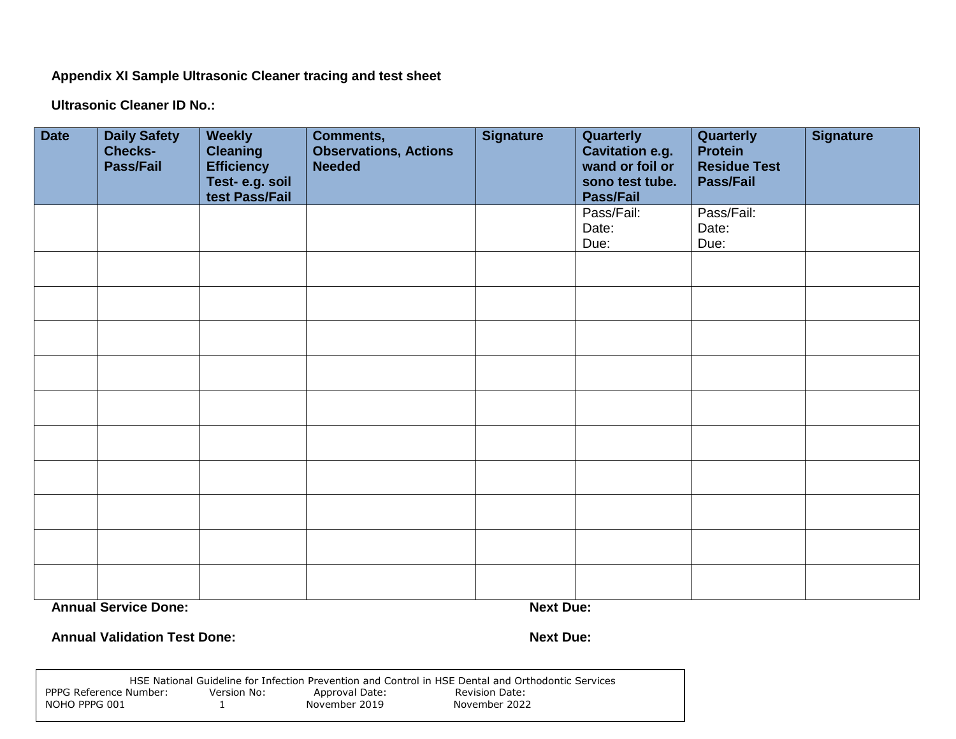**Appendix XI Sample Ultrasonic Cleaner tracing and test sheet**

**Ultrasonic Cleaner ID No.:**

| <b>Date</b> | <b>Daily Safety</b><br><b>Checks-</b><br>Pass/Fail | <b>Weekly</b><br><b>Cleaning</b><br><b>Efficiency</b><br>Test-e.g. soil<br>test Pass/Fail | <b>Comments,</b><br><b>Observations, Actions</b><br><b>Needed</b> | <b>Signature</b> | Quarterly<br><b>Cavitation e.g.</b><br>wand or foil or<br>sono test tube.<br><b>Pass/Fail</b> | Quarterly<br><b>Protein</b><br><b>Residue Test</b><br>Pass/Fail | <b>Signature</b> |
|-------------|----------------------------------------------------|-------------------------------------------------------------------------------------------|-------------------------------------------------------------------|------------------|-----------------------------------------------------------------------------------------------|-----------------------------------------------------------------|------------------|
|             |                                                    |                                                                                           |                                                                   |                  | Pass/Fail:<br>Date:<br>Due:                                                                   | Pass/Fail:<br>Date:<br>Due:                                     |                  |
|             |                                                    |                                                                                           |                                                                   |                  |                                                                                               |                                                                 |                  |
|             |                                                    |                                                                                           |                                                                   |                  |                                                                                               |                                                                 |                  |
|             |                                                    |                                                                                           |                                                                   |                  |                                                                                               |                                                                 |                  |
|             |                                                    |                                                                                           |                                                                   |                  |                                                                                               |                                                                 |                  |
|             |                                                    |                                                                                           |                                                                   |                  |                                                                                               |                                                                 |                  |
|             |                                                    |                                                                                           |                                                                   |                  |                                                                                               |                                                                 |                  |
|             |                                                    |                                                                                           |                                                                   |                  |                                                                                               |                                                                 |                  |
|             |                                                    |                                                                                           |                                                                   |                  |                                                                                               |                                                                 |                  |
|             | <b>Annual Service Done:</b>                        |                                                                                           |                                                                   | <b>Next Due:</b> |                                                                                               |                                                                 |                  |

**Annual Validation Test Done: Next Due: Next Due: Next Due: Next Due: Next Due: Next Due: Next Due: Next Due: Next Due: Next Due: Next Due: Next Due: Next Due: Next Due: Next Due: Next Due:** 

|                        |             |                | HSE National Guideline for Infection Prevention and Control in HSE Dental and Orthodontic Services |
|------------------------|-------------|----------------|----------------------------------------------------------------------------------------------------|
| PPPG Reference Number: | Version No: | Approval Date: | Revision Date:                                                                                     |
| NOHO PPPG 001          |             | November 2019  | November 2022                                                                                      |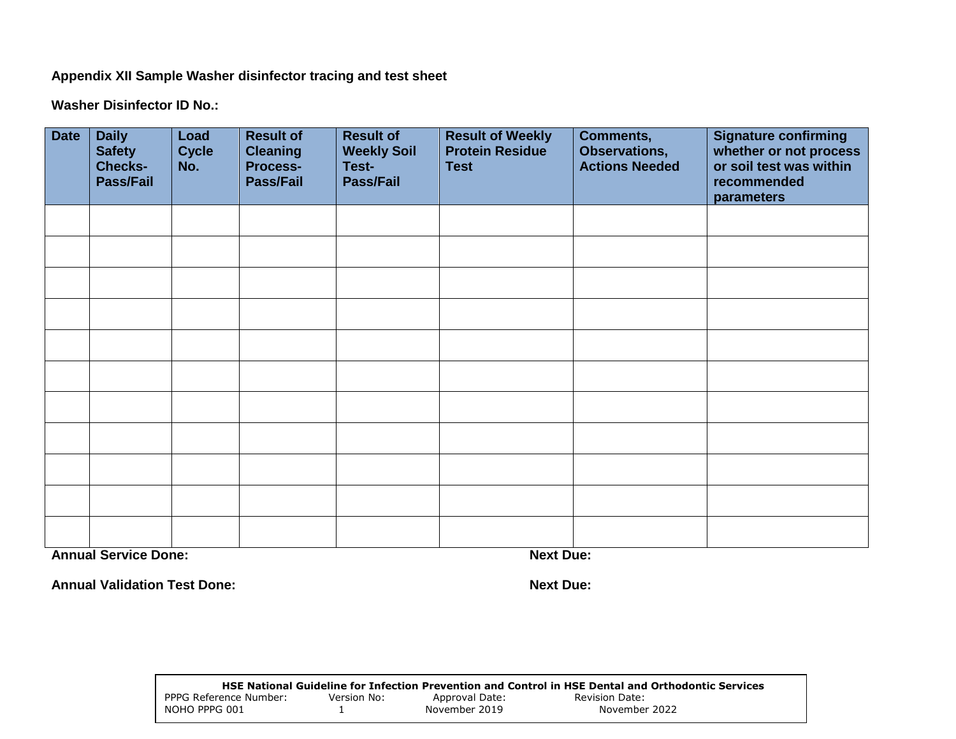**Appendix XII Sample Washer disinfector tracing and test sheet**

**Washer Disinfector ID No.:** 

| <b>Date</b> | <b>Daily</b><br><b>Safety</b><br><b>Checks-</b><br><b>Pass/Fail</b> | Load<br><b>Cycle</b><br>No. | <b>Result of</b><br><b>Cleaning</b><br><b>Process-</b><br><b>Pass/Fail</b> | <b>Result of</b><br><b>Weekly Soil</b><br>Test-<br>Pass/Fail | <b>Result of Weekly</b><br><b>Protein Residue</b><br><b>Test</b> | <b>Comments,</b><br>Observations,<br><b>Actions Needed</b> | <b>Signature confirming</b><br>whether or not process<br>or soil test was within<br>recommended<br>parameters |
|-------------|---------------------------------------------------------------------|-----------------------------|----------------------------------------------------------------------------|--------------------------------------------------------------|------------------------------------------------------------------|------------------------------------------------------------|---------------------------------------------------------------------------------------------------------------|
|             |                                                                     |                             |                                                                            |                                                              |                                                                  |                                                            |                                                                                                               |
|             |                                                                     |                             |                                                                            |                                                              |                                                                  |                                                            |                                                                                                               |
|             |                                                                     |                             |                                                                            |                                                              |                                                                  |                                                            |                                                                                                               |
|             |                                                                     |                             |                                                                            |                                                              |                                                                  |                                                            |                                                                                                               |
|             |                                                                     |                             |                                                                            |                                                              |                                                                  |                                                            |                                                                                                               |
|             |                                                                     |                             |                                                                            |                                                              |                                                                  |                                                            |                                                                                                               |
|             |                                                                     |                             |                                                                            |                                                              |                                                                  |                                                            |                                                                                                               |
|             |                                                                     |                             |                                                                            |                                                              |                                                                  |                                                            |                                                                                                               |
|             |                                                                     |                             |                                                                            |                                                              |                                                                  |                                                            |                                                                                                               |
|             |                                                                     |                             |                                                                            |                                                              |                                                                  |                                                            |                                                                                                               |
|             |                                                                     |                             |                                                                            |                                                              |                                                                  |                                                            |                                                                                                               |

**Annual Service Done: Next Due: Next Due: Next Due: Next Due: Next Due: Next Due: Next Due: Next Due: Next Due: Next Due: Next Due: Next Due: Next Due: Next Due: Next Due: Next Due: Next D** 

Annual Validation Test Done: **Next Due: Next Due: Next Due: Next Due: Next Due: Next Due: Next Due: Next Due: Next Due: Next Due: Next Due: Next Due: Next Due: Next Due: Next Due: Next Due:**

|                        |             |                | HSE National Guideline for Infection Prevention and Control in HSE Dental and Orthodontic Services |
|------------------------|-------------|----------------|----------------------------------------------------------------------------------------------------|
| PPPG Reference Number: | Version No: | Approval Date: | Revision Date:                                                                                     |
| NOHO PPPG 001          |             | November 2019  | November 2022                                                                                      |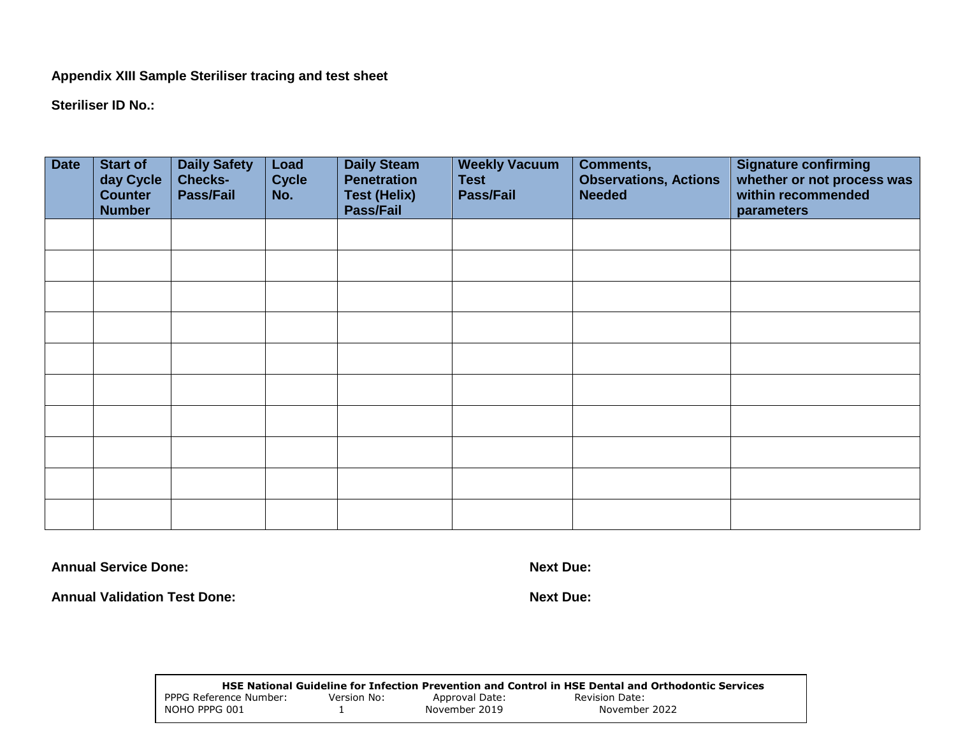**Appendix XIII Sample Steriliser tracing and test sheet**

**Steriliser ID No.:** 

| <b>Date</b> | <b>Start of</b><br>day Cycle<br><b>Counter</b><br><b>Number</b> | <b>Daily Safety</b><br><b>Checks-</b><br>Pass/Fail | Load<br><b>Cycle</b><br>No. | <b>Daily Steam</b><br><b>Penetration</b><br><b>Test (Helix)</b><br>Pass/Fail | <b>Weekly Vacuum</b><br><b>Test</b><br><b>Pass/Fail</b> | Comments,<br><b>Observations, Actions</b><br><b>Needed</b> | <b>Signature confirming</b><br>whether or not process was<br>within recommended<br>parameters |
|-------------|-----------------------------------------------------------------|----------------------------------------------------|-----------------------------|------------------------------------------------------------------------------|---------------------------------------------------------|------------------------------------------------------------|-----------------------------------------------------------------------------------------------|
|             |                                                                 |                                                    |                             |                                                                              |                                                         |                                                            |                                                                                               |
|             |                                                                 |                                                    |                             |                                                                              |                                                         |                                                            |                                                                                               |
|             |                                                                 |                                                    |                             |                                                                              |                                                         |                                                            |                                                                                               |
|             |                                                                 |                                                    |                             |                                                                              |                                                         |                                                            |                                                                                               |
|             |                                                                 |                                                    |                             |                                                                              |                                                         |                                                            |                                                                                               |
|             |                                                                 |                                                    |                             |                                                                              |                                                         |                                                            |                                                                                               |
|             |                                                                 |                                                    |                             |                                                                              |                                                         |                                                            |                                                                                               |
|             |                                                                 |                                                    |                             |                                                                              |                                                         |                                                            |                                                                                               |
|             |                                                                 |                                                    |                             |                                                                              |                                                         |                                                            |                                                                                               |
|             |                                                                 |                                                    |                             |                                                                              |                                                         |                                                            |                                                                                               |

**Annual Service Done: Next Due: Next Due: Next Due: Next Due: Next Due: Next Due: Next Due: Next Due: Next Due: Next Due: Next Due: Next Due: Next Due: Next Due: Next Due: Next Due: Next D** 

**Annual Validation Test Done: Next Due:**

|                        |             |                | HSE National Guideline for Infection Prevention and Control in HSE Dental and Orthodontic Services |
|------------------------|-------------|----------------|----------------------------------------------------------------------------------------------------|
| PPPG Reference Number: | Version No: | Approval Date: | Revision Date:                                                                                     |
| NOHO PPPG 001          |             | November 2019  | November 2022                                                                                      |